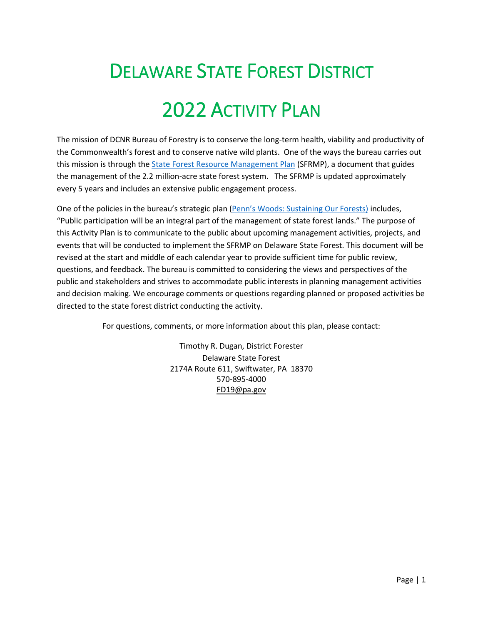# DELAWARE STATE FOREST DISTRICT 2022 ACTIVITY PLAN

The mission of DCNR Bureau of Forestry is to conserve the long-term health, viability and productivity of the Commonwealth's forest and to conserve native wild plants. One of the ways the bureau carries out this mission is through the *State Forest Resource Management Plan* (SFRMP), a document that guides the management of the 2.2 million-acre state forest system. The SFRMP is updated approximately every 5 years and includes an extensive public engagement process.

One of the policies in the bureau's strategic plan ([Penn's Woods: Sustaining Our Forests](http://www.dcnr.state.pa.us/cs/groups/public/documents/document/dcnr_20026631.pdf)) includes, "Public participation will be an integral part of the management of state forest lands." The purpose of this Activity Plan is to communicate to the public about upcoming management activities, projects, and events that will be conducted to implement the SFRMP on Delaware State Forest. This document will be revised at the start and middle of each calendar year to provide sufficient time for public review, questions, and feedback. The bureau is committed to considering the views and perspectives of the public and stakeholders and strives to accommodate public interests in planning management activities and decision making. We encourage comments or questions regarding planned or proposed activities be directed to the state forest district conducting the activity.

For questions, comments, or more information about this plan, please contact:

Timothy R. Dugan, District Forester Delaware State Forest 2174A Route 611, Swiftwater, PA 18370 570-895-4000 FD19@pa.gov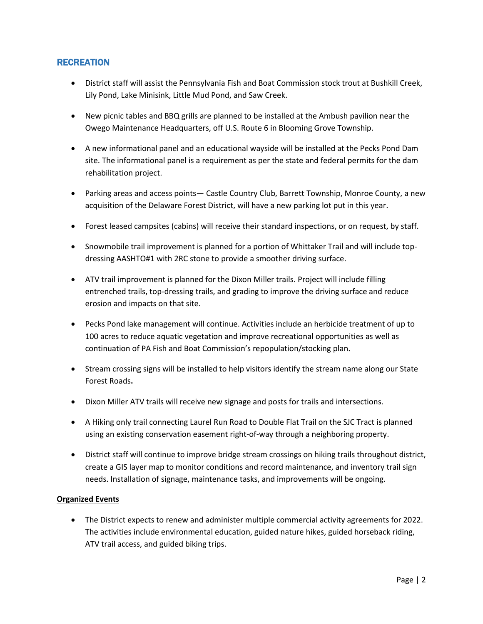## **RECREATION**

- District staff will assist the Pennsylvania Fish and Boat Commission stock trout at Bushkill Creek, Lily Pond, Lake Minisink, Little Mud Pond, and Saw Creek.
- New picnic tables and BBQ grills are planned to be installed at the Ambush pavilion near the Owego Maintenance Headquarters, off U.S. Route 6 in Blooming Grove Township.
- A new informational panel and an educational wayside will be installed at the Pecks Pond Dam site. The informational panel is a requirement as per the state and federal permits for the dam rehabilitation project.
- Parking areas and access points— Castle Country Club, Barrett Township, Monroe County, a new acquisition of the Delaware Forest District, will have a new parking lot put in this year.
- Forest leased campsites (cabins) will receive their standard inspections, or on request, by staff.
- Snowmobile trail improvement is planned for a portion of Whittaker Trail and will include topdressing AASHTO#1 with 2RC stone to provide a smoother driving surface.
- ATV trail improvement is planned for the Dixon Miller trails. Project will include filling entrenched trails, top-dressing trails, and grading to improve the driving surface and reduce erosion and impacts on that site.
- Pecks Pond lake management will continue. Activities include an herbicide treatment of up to 100 acres to reduce aquatic vegetation and improve recreational opportunities as well as continuation of PA Fish and Boat Commission's repopulation/stocking plan**.**
- Stream crossing signs will be installed to help visitors identify the stream name along our State Forest Roads**.**
- Dixon Miller ATV trails will receive new signage and posts for trails and intersections.
- A Hiking only trail connecting Laurel Run Road to Double Flat Trail on the SJC Tract is planned using an existing conservation easement right-of-way through a neighboring property.
- District staff will continue to improve bridge stream crossings on hiking trails throughout district, create a GIS layer map to monitor conditions and record maintenance, and inventory trail sign needs. Installation of signage, maintenance tasks, and improvements will be ongoing.

#### **Organized Events**

• The District expects to renew and administer multiple commercial activity agreements for 2022. The activities include environmental education, guided nature hikes, guided horseback riding, ATV trail access, and guided biking trips.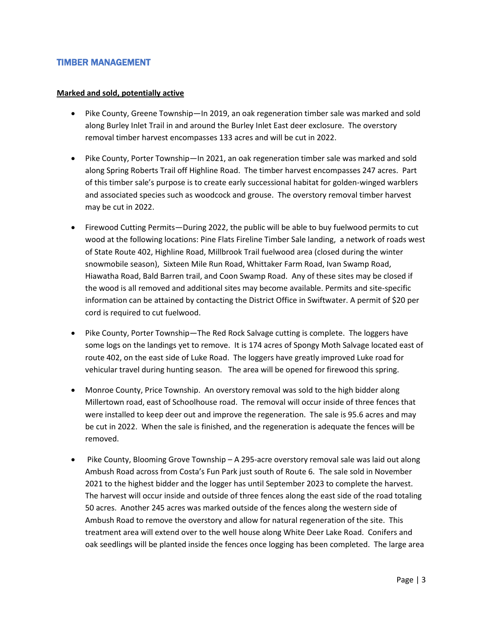## TIMBER MANAGEMENT

#### **Marked and sold, potentially active**

- Pike County, Greene Township—In 2019, an oak regeneration timber sale was marked and sold along Burley Inlet Trail in and around the Burley Inlet East deer exclosure. The overstory removal timber harvest encompasses 133 acres and will be cut in 2022.
- Pike County, Porter Township—In 2021, an oak regeneration timber sale was marked and sold along Spring Roberts Trail off Highline Road. The timber harvest encompasses 247 acres. Part of this timber sale's purpose is to create early successional habitat for golden-winged warblers and associated species such as woodcock and grouse. The overstory removal timber harvest may be cut in 2022.
- Firewood Cutting Permits—During 2022, the public will be able to buy fuelwood permits to cut wood at the following locations: Pine Flats Fireline Timber Sale landing, a network of roads west of State Route 402, Highline Road, Millbrook Trail fuelwood area (closed during the winter snowmobile season), Sixteen Mile Run Road, Whittaker Farm Road, Ivan Swamp Road, Hiawatha Road, Bald Barren trail, and Coon Swamp Road. Any of these sites may be closed if the wood is all removed and additional sites may become available. Permits and site-specific information can be attained by contacting the District Office in Swiftwater. A permit of \$20 per cord is required to cut fuelwood.
- Pike County, Porter Township—The Red Rock Salvage cutting is complete. The loggers have some logs on the landings yet to remove. It is 174 acres of Spongy Moth Salvage located east of route 402, on the east side of Luke Road. The loggers have greatly improved Luke road for vehicular travel during hunting season. The area will be opened for firewood this spring.
- Monroe County, Price Township. An overstory removal was sold to the high bidder along Millertown road, east of Schoolhouse road. The removal will occur inside of three fences that were installed to keep deer out and improve the regeneration. The sale is 95.6 acres and may be cut in 2022. When the sale is finished, and the regeneration is adequate the fences will be removed.
- Pike County, Blooming Grove Township A 295-acre overstory removal sale was laid out along Ambush Road across from Costa's Fun Park just south of Route 6. The sale sold in November 2021 to the highest bidder and the logger has until September 2023 to complete the harvest. The harvest will occur inside and outside of three fences along the east side of the road totaling 50 acres. Another 245 acres was marked outside of the fences along the western side of Ambush Road to remove the overstory and allow for natural regeneration of the site. This treatment area will extend over to the well house along White Deer Lake Road. Conifers and oak seedlings will be planted inside the fences once logging has been completed. The large area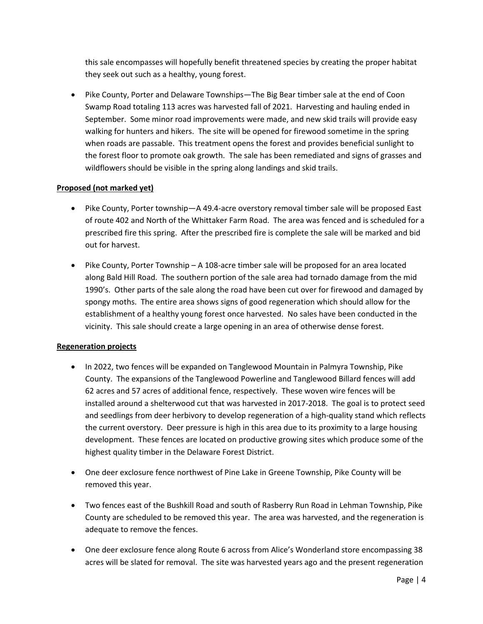this sale encompasses will hopefully benefit threatened species by creating the proper habitat they seek out such as a healthy, young forest.

• Pike County, Porter and Delaware Townships—The Big Bear timber sale at the end of Coon Swamp Road totaling 113 acres was harvested fall of 2021. Harvesting and hauling ended in September. Some minor road improvements were made, and new skid trails will provide easy walking for hunters and hikers. The site will be opened for firewood sometime in the spring when roads are passable. This treatment opens the forest and provides beneficial sunlight to the forest floor to promote oak growth. The sale has been remediated and signs of grasses and wildflowers should be visible in the spring along landings and skid trails.

#### **Proposed (not marked yet)**

- Pike County, Porter township—A 49.4-acre overstory removal timber sale will be proposed East of route 402 and North of the Whittaker Farm Road. The area was fenced and is scheduled for a prescribed fire this spring. After the prescribed fire is complete the sale will be marked and bid out for harvest.
- Pike County, Porter Township A 108-acre timber sale will be proposed for an area located along Bald Hill Road. The southern portion of the sale area had tornado damage from the mid 1990's. Other parts of the sale along the road have been cut over for firewood and damaged by spongy moths. The entire area shows signs of good regeneration which should allow for the establishment of a healthy young forest once harvested. No sales have been conducted in the vicinity. This sale should create a large opening in an area of otherwise dense forest.

## **Regeneration projects**

- In 2022, two fences will be expanded on Tanglewood Mountain in Palmyra Township, Pike County. The expansions of the Tanglewood Powerline and Tanglewood Billard fences will add 62 acres and 57 acres of additional fence, respectively. These woven wire fences will be installed around a shelterwood cut that was harvested in 2017-2018. The goal is to protect seed and seedlings from deer herbivory to develop regeneration of a high-quality stand which reflects the current overstory. Deer pressure is high in this area due to its proximity to a large housing development. These fences are located on productive growing sites which produce some of the highest quality timber in the Delaware Forest District.
- One deer exclosure fence northwest of Pine Lake in Greene Township, Pike County will be removed this year.
- Two fences east of the Bushkill Road and south of Rasberry Run Road in Lehman Township, Pike County are scheduled to be removed this year. The area was harvested, and the regeneration is adequate to remove the fences.
- One deer exclosure fence along Route 6 across from Alice's Wonderland store encompassing 38 acres will be slated for removal. The site was harvested years ago and the present regeneration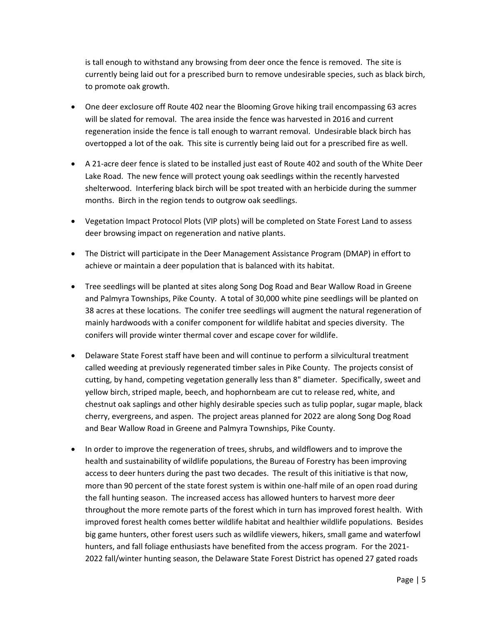is tall enough to withstand any browsing from deer once the fence is removed. The site is currently being laid out for a prescribed burn to remove undesirable species, such as black birch, to promote oak growth.

- One deer exclosure off Route 402 near the Blooming Grove hiking trail encompassing 63 acres will be slated for removal. The area inside the fence was harvested in 2016 and current regeneration inside the fence is tall enough to warrant removal. Undesirable black birch has overtopped a lot of the oak. This site is currently being laid out for a prescribed fire as well.
- A 21-acre deer fence is slated to be installed just east of Route 402 and south of the White Deer Lake Road. The new fence will protect young oak seedlings within the recently harvested shelterwood. Interfering black birch will be spot treated with an herbicide during the summer months. Birch in the region tends to outgrow oak seedlings.
- Vegetation Impact Protocol Plots (VIP plots) will be completed on State Forest Land to assess deer browsing impact on regeneration and native plants.
- The District will participate in the Deer Management Assistance Program (DMAP) in effort to achieve or maintain a deer population that is balanced with its habitat.
- Tree seedlings will be planted at sites along Song Dog Road and Bear Wallow Road in Greene and Palmyra Townships, Pike County. A total of 30,000 white pine seedlings will be planted on 38 acres at these locations. The conifer tree seedlings will augment the natural regeneration of mainly hardwoods with a conifer component for wildlife habitat and species diversity. The conifers will provide winter thermal cover and escape cover for wildlife.
- Delaware State Forest staff have been and will continue to perform a silvicultural treatment called weeding at previously regenerated timber sales in Pike County. The projects consist of cutting, by hand, competing vegetation generally less than 8" diameter. Specifically, sweet and yellow birch, striped maple, beech, and hophornbeam are cut to release red, white, and chestnut oak saplings and other highly desirable species such as tulip poplar, sugar maple, black cherry, evergreens, and aspen. The project areas planned for 2022 are along Song Dog Road and Bear Wallow Road in Greene and Palmyra Townships, Pike County.
- In order to improve the regeneration of trees, shrubs, and wildflowers and to improve the health and sustainability of wildlife populations, the Bureau of Forestry has been improving access to deer hunters during the past two decades. The result of this initiative is that now, more than 90 percent of the state forest system is within one-half mile of an open road during the fall hunting season. The increased access has allowed hunters to harvest more deer throughout the more remote parts of the forest which in turn has improved forest health. With improved forest health comes better wildlife habitat and healthier wildlife populations. Besides big game hunters, other forest users such as wildlife viewers, hikers, small game and waterfowl hunters, and fall foliage enthusiasts have benefited from the access program. For the 2021- 2022 fall/winter hunting season, the Delaware State Forest District has opened 27 gated roads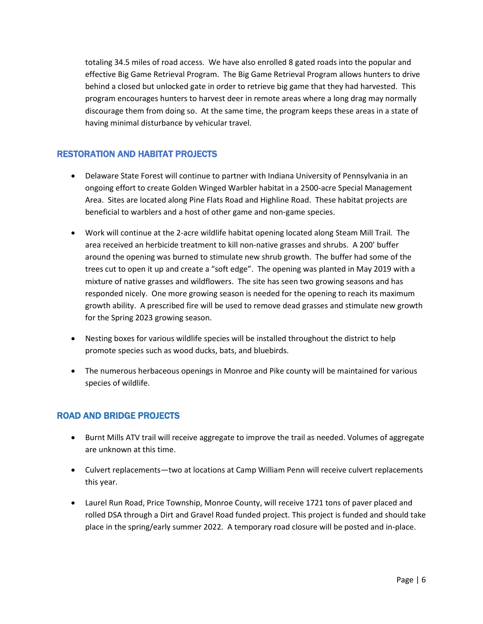totaling 34.5 miles of road access. We have also enrolled 8 gated roads into the popular and effective Big Game Retrieval Program. The Big Game Retrieval Program allows hunters to drive behind a closed but unlocked gate in order to retrieve big game that they had harvested. This program encourages hunters to harvest deer in remote areas where a long drag may normally discourage them from doing so. At the same time, the program keeps these areas in a state of having minimal disturbance by vehicular travel.

## RESTORATION AND HABITAT PROJECTS

- Delaware State Forest will continue to partner with Indiana University of Pennsylvania in an ongoing effort to create Golden Winged Warbler habitat in a 2500-acre Special Management Area. Sites are located along Pine Flats Road and Highline Road. These habitat projects are beneficial to warblers and a host of other game and non-game species.
- Work will continue at the 2-acre wildlife habitat opening located along Steam Mill Trail. The area received an herbicide treatment to kill non-native grasses and shrubs. A 200' buffer around the opening was burned to stimulate new shrub growth. The buffer had some of the trees cut to open it up and create a "soft edge". The opening was planted in May 2019 with a mixture of native grasses and wildflowers. The site has seen two growing seasons and has responded nicely. One more growing season is needed for the opening to reach its maximum growth ability. A prescribed fire will be used to remove dead grasses and stimulate new growth for the Spring 2023 growing season.
- Nesting boxes for various wildlife species will be installed throughout the district to help promote species such as wood ducks, bats, and bluebirds.
- The numerous herbaceous openings in Monroe and Pike county will be maintained for various species of wildlife.

## ROAD AND BRIDGE PROJECTS

- Burnt Mills ATV trail will receive aggregate to improve the trail as needed. Volumes of aggregate are unknown at this time.
- Culvert replacements—two at locations at Camp William Penn will receive culvert replacements this year.
- Laurel Run Road, Price Township, Monroe County, will receive 1721 tons of paver placed and rolled DSA through a Dirt and Gravel Road funded project. This project is funded and should take place in the spring/early summer 2022. A temporary road closure will be posted and in-place.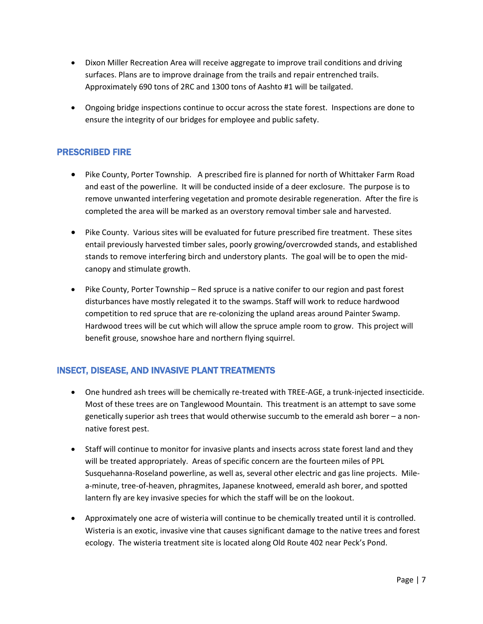- Dixon Miller Recreation Area will receive aggregate to improve trail conditions and driving surfaces. Plans are to improve drainage from the trails and repair entrenched trails. Approximately 690 tons of 2RC and 1300 tons of Aashto #1 will be tailgated.
- Ongoing bridge inspections continue to occur across the state forest. Inspections are done to ensure the integrity of our bridges for employee and public safety.

## PRESCRIBED FIRE

- Pike County, Porter Township. A prescribed fire is planned for north of Whittaker Farm Road and east of the powerline. It will be conducted inside of a deer exclosure. The purpose is to remove unwanted interfering vegetation and promote desirable regeneration. After the fire is completed the area will be marked as an overstory removal timber sale and harvested.
- Pike County. Various sites will be evaluated for future prescribed fire treatment. These sites entail previously harvested timber sales, poorly growing/overcrowded stands, and established stands to remove interfering birch and understory plants. The goal will be to open the midcanopy and stimulate growth.
- Pike County, Porter Township Red spruce is a native conifer to our region and past forest disturbances have mostly relegated it to the swamps. Staff will work to reduce hardwood competition to red spruce that are re-colonizing the upland areas around Painter Swamp. Hardwood trees will be cut which will allow the spruce ample room to grow. This project will benefit grouse, snowshoe hare and northern flying squirrel.

## INSECT, DISEASE, AND INVASIVE PLANT TREATMENTS

- One hundred ash trees will be chemically re-treated with TREE-AGE, a trunk-injected insecticide. Most of these trees are on Tanglewood Mountain. This treatment is an attempt to save some genetically superior ash trees that would otherwise succumb to the emerald ash borer – a nonnative forest pest.
- Staff will continue to monitor for invasive plants and insects across state forest land and they will be treated appropriately. Areas of specific concern are the fourteen miles of PPL Susquehanna-Roseland powerline, as well as, several other electric and gas line projects. Milea-minute, tree-of-heaven, phragmites, Japanese knotweed, emerald ash borer, and spotted lantern fly are key invasive species for which the staff will be on the lookout.
- Approximately one acre of wisteria will continue to be chemically treated until it is controlled. Wisteria is an exotic, invasive vine that causes significant damage to the native trees and forest ecology. The wisteria treatment site is located along Old Route 402 near Peck's Pond.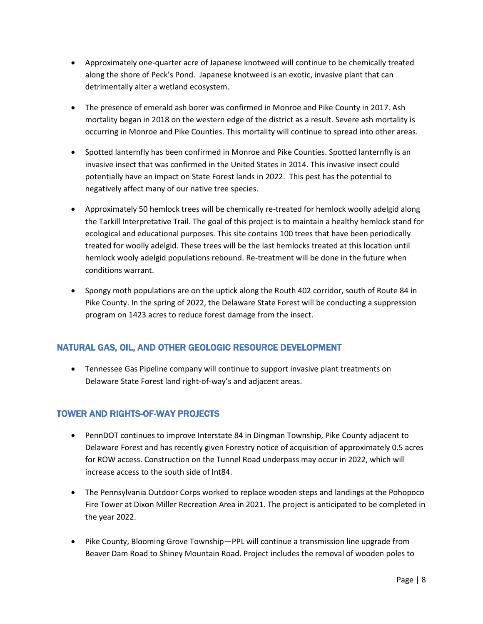- Approximately one-quarter acre of Japanese knotweed will continue to be chemically treated along the shore of Peck's Pond. Japanese knotweed is an exotic, invasive plant that can detrimentally alter a wetland ecosystem.
- The presence of emerald ash borer was confirmed in Monroe and Pike County in 2017. Ash mortality began in 2018 on the western edge of the district as a result. Severe ash mortality is occurring in Monroe and Pike Counties. This mortality will continue to spread into other areas.
- Spotted lanternfly has been confirmed in Monroe and Pike Counties. Spotted lanternfly is an invasive insect that was confirmed in the United States in 2014. This invasive insect could potentially have an impact on State Forest lands in 2022. This pest has the potential to negatively affect many of our native tree species.
- Approximately 50 hemlock trees will be chemically re-treated for hemlock woolly adelgid along the Tarkill Interpretative Trail. The goal of this project is to maintain a healthy hemlock stand for ecological and educational purposes. This site contains 100 trees that have been periodically treated for woolly adelgid. These trees will be the last hemlocks treated at this location until hemlock wooly adelgid populations rebound. Re-treatment will be done in the future when conditions warrant.
- Spongy moth populations are on the uptick along the Routh 402 corridor, south of Route 84 in Pike County. In the spring of 2022, the Delaware State Forest will be conducting a suppression program on 1423 acres to reduce forest damage from the insect.

# NATURAL GAS, OIL, AND OTHER GEOLOGIC RESOURCE DEVELOPMENT

• Tennessee Gas Pipeline company will continue to support invasive plant treatments on Delaware State Forest land right-of-way's and adjacent areas.

## TOWER AND RIGHTS-OF-WAY PROJECTS

- PennDOT continues to improve Interstate 84 in Dingman Township, Pike County adjacent to Delaware Forest and has recently given Forestry notice of acquisition of approximately 0.5 acres for ROW access. Construction on the Tunnel Road underpass may occur in 2022, which will increase access to the south side of Int84.
- The Pennsylvania Outdoor Corps worked to replace wooden steps and landings at the Pohopoco Fire Tower at Dixon Miller Recreation Area in 2021. The project is anticipated to be completed in the year 2022.
- Pike County, Blooming Grove Township—PPL will continue a transmission line upgrade from Beaver Dam Road to Shiney Mountain Road. Project includes the removal of wooden poles to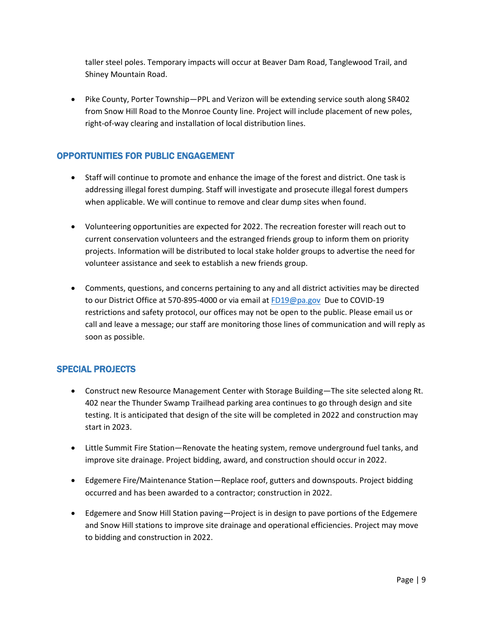taller steel poles. Temporary impacts will occur at Beaver Dam Road, Tanglewood Trail, and Shiney Mountain Road.

• Pike County, Porter Township—PPL and Verizon will be extending service south along SR402 from Snow Hill Road to the Monroe County line. Project will include placement of new poles, right-of-way clearing and installation of local distribution lines.

## OPPORTUNITIES FOR PUBLIC ENGAGEMENT

- Staff will continue to promote and enhance the image of the forest and district. One task is addressing illegal forest dumping. Staff will investigate and prosecute illegal forest dumpers when applicable. We will continue to remove and clear dump sites when found.
- Volunteering opportunities are expected for 2022. The recreation forester will reach out to current conservation volunteers and the estranged friends group to inform them on priority projects. Information will be distributed to local stake holder groups to advertise the need for volunteer assistance and seek to establish a new friends group.
- Comments, questions, and concerns pertaining to any and all district activities may be directed to our District Office at 570-895-4000 or via email at [FD19@pa.gov](mailto:FD19@pa.gov) Due to COVID-19 restrictions and safety protocol, our offices may not be open to the public. Please email us or call and leave a message; our staff are monitoring those lines of communication and will reply as soon as possible.

## SPECIAL PROJECTS

- Construct new Resource Management Center with Storage Building—The site selected along Rt. 402 near the Thunder Swamp Trailhead parking area continues to go through design and site testing. It is anticipated that design of the site will be completed in 2022 and construction may start in 2023.
- Little Summit Fire Station—Renovate the heating system, remove underground fuel tanks, and improve site drainage. Project bidding, award, and construction should occur in 2022.
- Edgemere Fire/Maintenance Station—Replace roof, gutters and downspouts. Project bidding occurred and has been awarded to a contractor; construction in 2022.
- Edgemere and Snow Hill Station paving—Project is in design to pave portions of the Edgemere and Snow Hill stations to improve site drainage and operational efficiencies. Project may move to bidding and construction in 2022.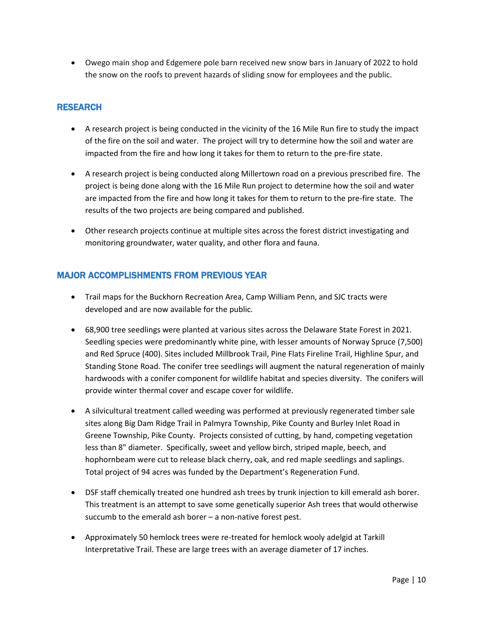• Owego main shop and Edgemere pole barn received new snow bars in January of 2022 to hold the snow on the roofs to prevent hazards of sliding snow for employees and the public.

## RESEARCH

- A research project is being conducted in the vicinity of the 16 Mile Run fire to study the impact of the fire on the soil and water. The project will try to determine how the soil and water are impacted from the fire and how long it takes for them to return to the pre-fire state.
- A research project is being conducted along Millertown road on a previous prescribed fire. The project is being done along with the 16 Mile Run project to determine how the soil and water are impacted from the fire and how long it takes for them to return to the pre-fire state. The results of the two projects are being compared and published.
- Other research projects continue at multiple sites across the forest district investigating and monitoring groundwater, water quality, and other flora and fauna.

## MAJOR ACCOMPLISHMENTS FROM PREVIOUS YEAR

- Trail maps for the Buckhorn Recreation Area, Camp William Penn, and SJC tracts were developed and are now available for the public.
- 68,900 tree seedlings were planted at various sites across the Delaware State Forest in 2021. Seedling species were predominantly white pine, with lesser amounts of Norway Spruce (7,500) and Red Spruce (400). Sites included Millbrook Trail, Pine Flats Fireline Trail, Highline Spur, and Standing Stone Road. The conifer tree seedlings will augment the natural regeneration of mainly hardwoods with a conifer component for wildlife habitat and species diversity. The conifers will provide winter thermal cover and escape cover for wildlife.
- A silvicultural treatment called weeding was performed at previously regenerated timber sale sites along Big Dam Ridge Trail in Palmyra Township, Pike County and Burley Inlet Road in Greene Township, Pike County. Projects consisted of cutting, by hand, competing vegetation less than 8" diameter. Specifically, sweet and yellow birch, striped maple, beech, and hophornbeam were cut to release black cherry, oak, and red maple seedlings and saplings. Total project of 94 acres was funded by the Department's Regeneration Fund.
- DSF staff chemically treated one hundred ash trees by trunk injection to kill emerald ash borer. This treatment is an attempt to save some genetically superior Ash trees that would otherwise succumb to the emerald ash borer – a non-native forest pest.
- Approximately 50 hemlock trees were re-treated for hemlock wooly adelgid at Tarkill Interpretative Trail. These are large trees with an average diameter of 17 inches.